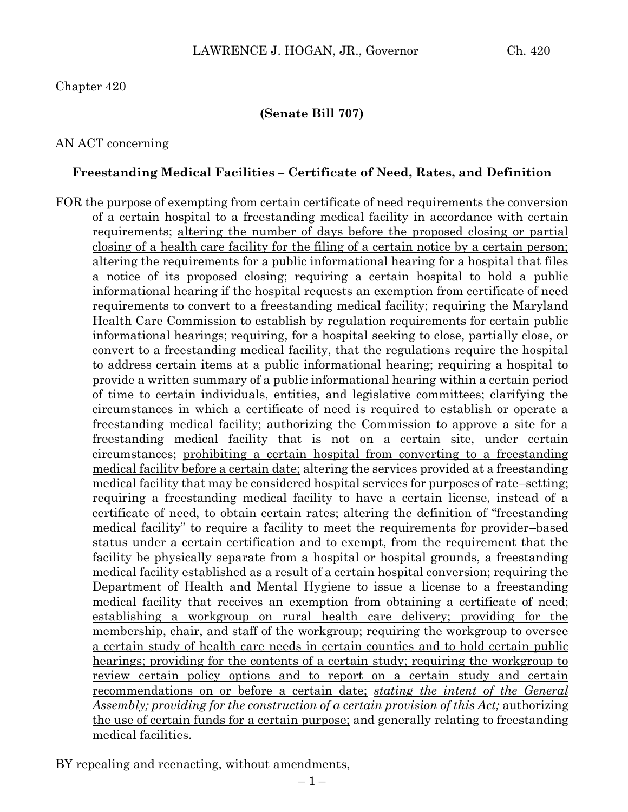### Chapter 420

### **(Senate Bill 707)**

### AN ACT concerning

#### **Freestanding Medical Facilities – Certificate of Need, Rates, and Definition**

FOR the purpose of exempting from certain certificate of need requirements the conversion of a certain hospital to a freestanding medical facility in accordance with certain requirements; altering the number of days before the proposed closing or partial closing of a health care facility for the filing of a certain notice by a certain person; altering the requirements for a public informational hearing for a hospital that files a notice of its proposed closing; requiring a certain hospital to hold a public informational hearing if the hospital requests an exemption from certificate of need requirements to convert to a freestanding medical facility; requiring the Maryland Health Care Commission to establish by regulation requirements for certain public informational hearings; requiring, for a hospital seeking to close, partially close, or convert to a freestanding medical facility, that the regulations require the hospital to address certain items at a public informational hearing; requiring a hospital to provide a written summary of a public informational hearing within a certain period of time to certain individuals, entities, and legislative committees; clarifying the circumstances in which a certificate of need is required to establish or operate a freestanding medical facility; authorizing the Commission to approve a site for a freestanding medical facility that is not on a certain site, under certain circumstances; prohibiting a certain hospital from converting to a freestanding medical facility before a certain date; altering the services provided at a freestanding medical facility that may be considered hospital services for purposes of rate–setting; requiring a freestanding medical facility to have a certain license, instead of a certificate of need, to obtain certain rates; altering the definition of "freestanding medical facility" to require a facility to meet the requirements for provider–based status under a certain certification and to exempt, from the requirement that the facility be physically separate from a hospital or hospital grounds, a freestanding medical facility established as a result of a certain hospital conversion; requiring the Department of Health and Mental Hygiene to issue a license to a freestanding medical facility that receives an exemption from obtaining a certificate of need; establishing a workgroup on rural health care delivery; providing for the membership, chair, and staff of the workgroup; requiring the workgroup to oversee a certain study of health care needs in certain counties and to hold certain public hearings; providing for the contents of a certain study; requiring the workgroup to review certain policy options and to report on a certain study and certain recommendations on or before a certain date; *stating the intent of the General Assembly; providing for the construction of a certain provision of this Act;* authorizing the use of certain funds for a certain purpose; and generally relating to freestanding medical facilities.

BY repealing and reenacting, without amendments,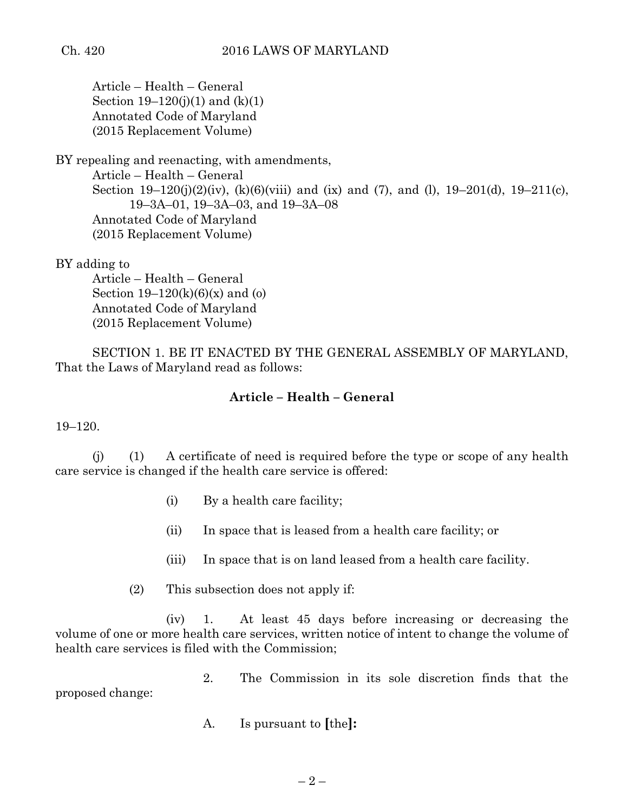Article – Health – General Section  $19-120(i)(1)$  and  $(k)(1)$ Annotated Code of Maryland (2015 Replacement Volume)

BY repealing and reenacting, with amendments, Article – Health – General Section 19–120(j)(2)(iv), (k)(6)(viii) and (ix) and (7), and (l), 19–201(d), 19–211(c), 19–3A–01, 19–3A–03, and 19–3A–08 Annotated Code of Maryland (2015 Replacement Volume)

BY adding to

Article – Health – General Section  $19-120(k)(6)(x)$  and (o) Annotated Code of Maryland (2015 Replacement Volume)

SECTION 1. BE IT ENACTED BY THE GENERAL ASSEMBLY OF MARYLAND, That the Laws of Maryland read as follows:

### **Article – Health – General**

19–120.

(j) (1) A certificate of need is required before the type or scope of any health care service is changed if the health care service is offered:

- (i) By a health care facility;
- (ii) In space that is leased from a health care facility; or
- (iii) In space that is on land leased from a health care facility.

(2) This subsection does not apply if:

(iv) 1. At least 45 days before increasing or decreasing the volume of one or more health care services, written notice of intent to change the volume of health care services is filed with the Commission;

2. The Commission in its sole discretion finds that the proposed change:

A. Is pursuant to **[**the**]:**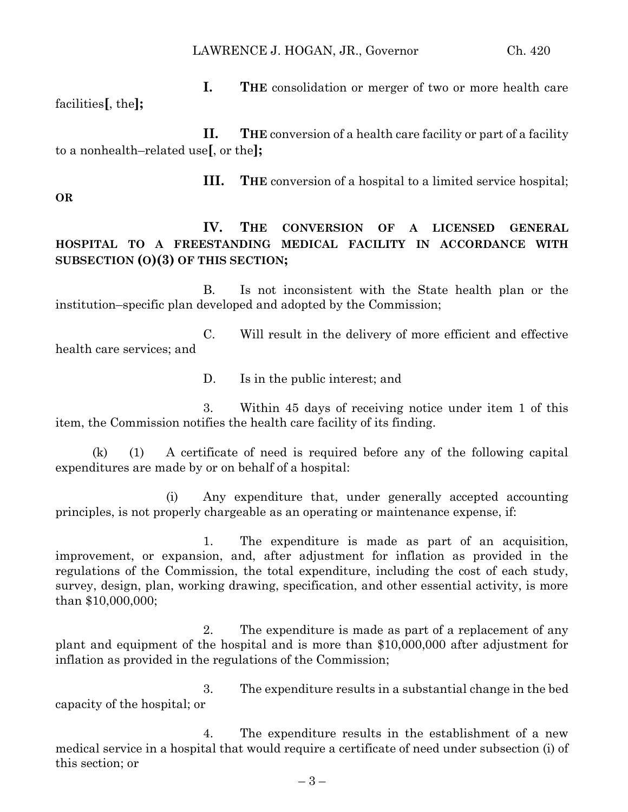**I. THE** consolidation or merger of two or more health care facilities**[**, the**];**

**II. THE** conversion of a health care facility or part of a facility to a nonhealth–related use**[**, or the**];**

**III. THE** conversion of a hospital to a limited service hospital;

**OR**

**IV. THE CONVERSION OF A LICENSED GENERAL HOSPITAL TO A FREESTANDING MEDICAL FACILITY IN ACCORDANCE WITH** 

## **SUBSECTION (O)(3) OF THIS SECTION;**

B. Is not inconsistent with the State health plan or the institution–specific plan developed and adopted by the Commission;

C. Will result in the delivery of more efficient and effective health care services; and

D. Is in the public interest; and

3. Within 45 days of receiving notice under item 1 of this item, the Commission notifies the health care facility of its finding.

(k) (1) A certificate of need is required before any of the following capital expenditures are made by or on behalf of a hospital:

(i) Any expenditure that, under generally accepted accounting principles, is not properly chargeable as an operating or maintenance expense, if:

1. The expenditure is made as part of an acquisition, improvement, or expansion, and, after adjustment for inflation as provided in the regulations of the Commission, the total expenditure, including the cost of each study, survey, design, plan, working drawing, specification, and other essential activity, is more than \$10,000,000;

2. The expenditure is made as part of a replacement of any plant and equipment of the hospital and is more than \$10,000,000 after adjustment for inflation as provided in the regulations of the Commission;

3. The expenditure results in a substantial change in the bed capacity of the hospital; or

4. The expenditure results in the establishment of a new medical service in a hospital that would require a certificate of need under subsection (i) of this section; or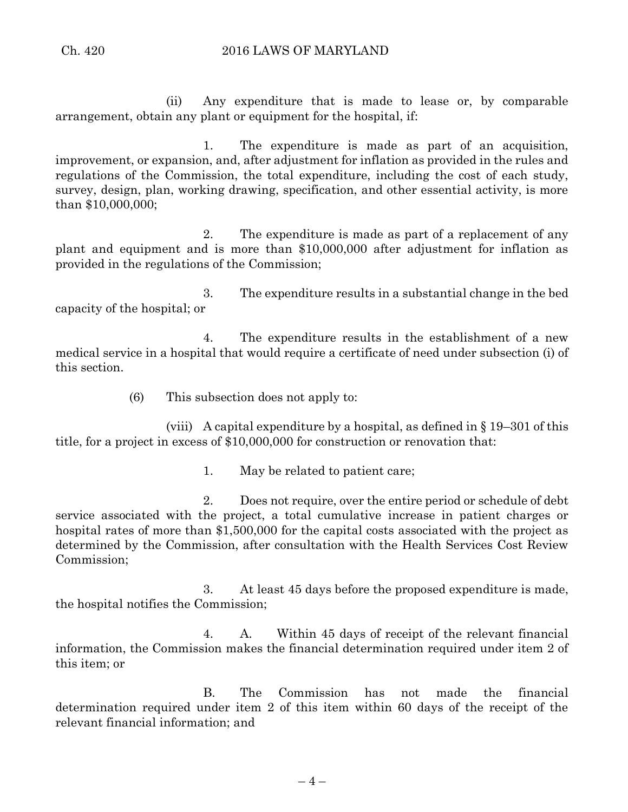(ii) Any expenditure that is made to lease or, by comparable arrangement, obtain any plant or equipment for the hospital, if:

1. The expenditure is made as part of an acquisition, improvement, or expansion, and, after adjustment for inflation as provided in the rules and regulations of the Commission, the total expenditure, including the cost of each study, survey, design, plan, working drawing, specification, and other essential activity, is more than \$10,000,000;

2. The expenditure is made as part of a replacement of any plant and equipment and is more than \$10,000,000 after adjustment for inflation as provided in the regulations of the Commission;

3. The expenditure results in a substantial change in the bed capacity of the hospital; or

4. The expenditure results in the establishment of a new medical service in a hospital that would require a certificate of need under subsection (i) of this section.

(6) This subsection does not apply to:

(viii) A capital expenditure by a hospital, as defined in  $\S 19-301$  of this title, for a project in excess of \$10,000,000 for construction or renovation that:

1. May be related to patient care;

2. Does not require, over the entire period or schedule of debt service associated with the project, a total cumulative increase in patient charges or hospital rates of more than \$1,500,000 for the capital costs associated with the project as determined by the Commission, after consultation with the Health Services Cost Review Commission;

3. At least 45 days before the proposed expenditure is made, the hospital notifies the Commission;

4. A. Within 45 days of receipt of the relevant financial information, the Commission makes the financial determination required under item 2 of this item; or

B. The Commission has not made the financial determination required under item 2 of this item within 60 days of the receipt of the relevant financial information; and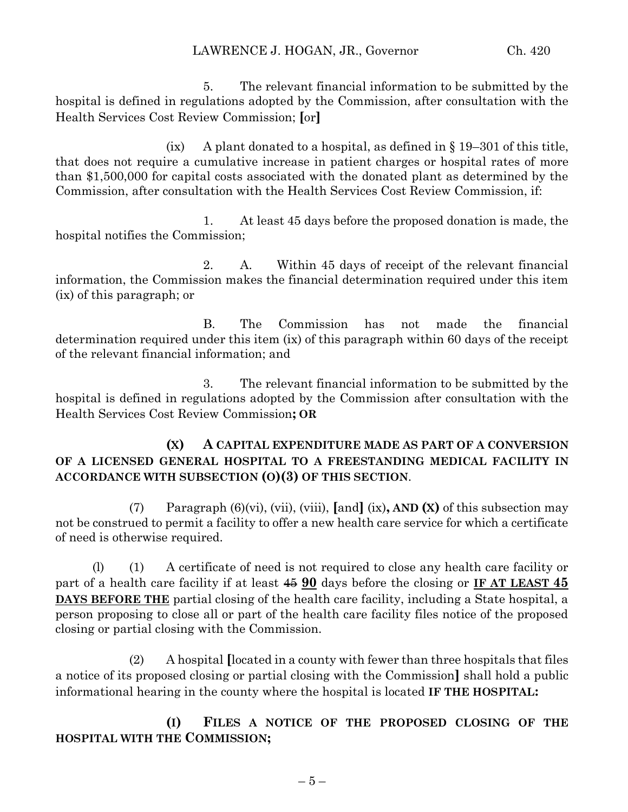5. The relevant financial information to be submitted by the hospital is defined in regulations adopted by the Commission, after consultation with the Health Services Cost Review Commission; **[**or**]**

(ix) A plant donated to a hospital, as defined in  $\S$  19–301 of this title, that does not require a cumulative increase in patient charges or hospital rates of more than \$1,500,000 for capital costs associated with the donated plant as determined by the Commission, after consultation with the Health Services Cost Review Commission, if:

1. At least 45 days before the proposed donation is made, the hospital notifies the Commission;

2. A. Within 45 days of receipt of the relevant financial information, the Commission makes the financial determination required under this item (ix) of this paragraph; or

B. The Commission has not made the financial determination required under this item (ix) of this paragraph within 60 days of the receipt of the relevant financial information; and

3. The relevant financial information to be submitted by the hospital is defined in regulations adopted by the Commission after consultation with the Health Services Cost Review Commission**; OR**

## **(X) A CAPITAL EXPENDITURE MADE AS PART OF A CONVERSION OF A LICENSED GENERAL HOSPITAL TO A FREESTANDING MEDICAL FACILITY IN ACCORDANCE WITH SUBSECTION (O)(3) OF THIS SECTION**.

(7) Paragraph (6)(vi), (vii), (viii), **[**and**]** (ix)**, AND (X)** of this subsection may not be construed to permit a facility to offer a new health care service for which a certificate of need is otherwise required.

(l) (1) A certificate of need is not required to close any health care facility or part of a health care facility if at least 45 **90** days before the closing or **IF AT LEAST 45 DAYS BEFORE THE** partial closing of the health care facility, including a State hospital, a person proposing to close all or part of the health care facility files notice of the proposed closing or partial closing with the Commission.

(2) A hospital **[**located in a county with fewer than three hospitals that files a notice of its proposed closing or partial closing with the Commission**]** shall hold a public informational hearing in the county where the hospital is located **IF THE HOSPITAL:**

**(I) FILES A NOTICE OF THE PROPOSED CLOSING OF THE HOSPITAL WITH THE COMMISSION;**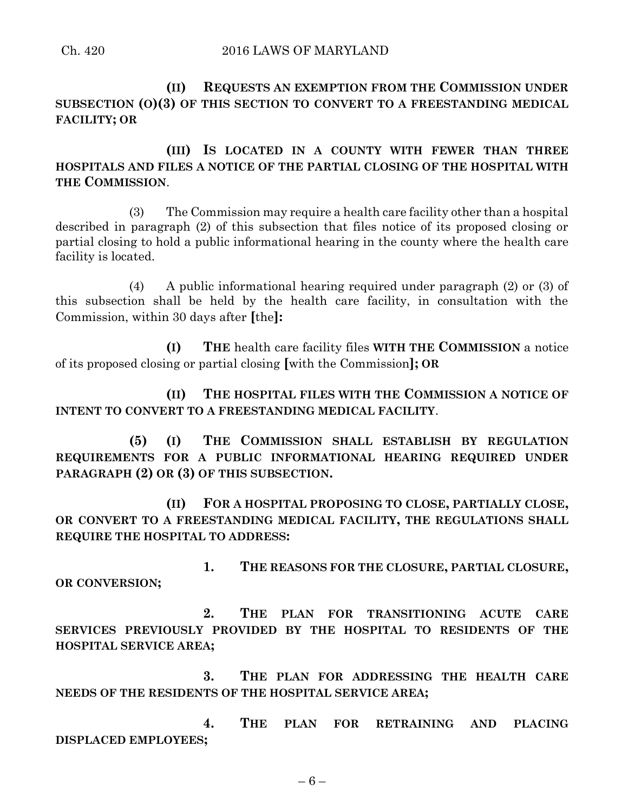**(II) REQUESTS AN EXEMPTION FROM THE COMMISSION UNDER SUBSECTION (O)(3) OF THIS SECTION TO CONVERT TO A FREESTANDING MEDICAL FACILITY; OR**

**(III) IS LOCATED IN A COUNTY WITH FEWER THAN THREE HOSPITALS AND FILES A NOTICE OF THE PARTIAL CLOSING OF THE HOSPITAL WITH THE COMMISSION**.

(3) The Commission may require a health care facility other than a hospital described in paragraph (2) of this subsection that files notice of its proposed closing or partial closing to hold a public informational hearing in the county where the health care facility is located.

(4) A public informational hearing required under paragraph (2) or (3) of this subsection shall be held by the health care facility, in consultation with the Commission, within 30 days after **[**the**]:**

**(I) THE** health care facility files **WITH THE COMMISSION** a notice of its proposed closing or partial closing **[**with the Commission**]; OR**

**(II) THE HOSPITAL FILES WITH THE COMMISSION A NOTICE OF INTENT TO CONVERT TO A FREESTANDING MEDICAL FACILITY**.

**(5) (I) THE COMMISSION SHALL ESTABLISH BY REGULATION REQUIREMENTS FOR A PUBLIC INFORMATIONAL HEARING REQUIRED UNDER PARAGRAPH (2) OR (3) OF THIS SUBSECTION.**

**(II) FOR A HOSPITAL PROPOSING TO CLOSE, PARTIALLY CLOSE, OR CONVERT TO A FREESTANDING MEDICAL FACILITY, THE REGULATIONS SHALL REQUIRE THE HOSPITAL TO ADDRESS:**

**1. THE REASONS FOR THE CLOSURE, PARTIAL CLOSURE, OR CONVERSION;**

**2. THE PLAN FOR TRANSITIONING ACUTE CARE SERVICES PREVIOUSLY PROVIDED BY THE HOSPITAL TO RESIDENTS OF THE HOSPITAL SERVICE AREA;**

**3. THE PLAN FOR ADDRESSING THE HEALTH CARE NEEDS OF THE RESIDENTS OF THE HOSPITAL SERVICE AREA;**

**4. THE PLAN FOR RETRAINING AND PLACING DISPLACED EMPLOYEES;**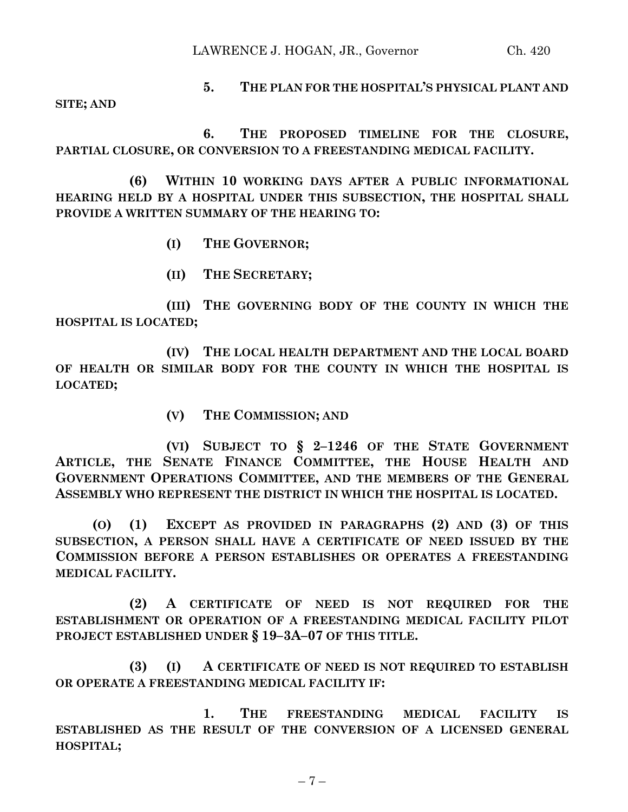LAWRENCE J. HOGAN, JR., Governor Ch. 420

# **5. THE PLAN FOR THE HOSPITAL'S PHYSICAL PLANT AND**

**SITE; AND**

**6. THE PROPOSED TIMELINE FOR THE CLOSURE, PARTIAL CLOSURE, OR CONVERSION TO A FREESTANDING MEDICAL FACILITY.**

**(6) WITHIN 10 WORKING DAYS AFTER A PUBLIC INFORMATIONAL HEARING HELD BY A HOSPITAL UNDER THIS SUBSECTION, THE HOSPITAL SHALL PROVIDE A WRITTEN SUMMARY OF THE HEARING TO:**

- **(I) THE GOVERNOR;**
- **(II) THE SECRETARY;**

**(III) THE GOVERNING BODY OF THE COUNTY IN WHICH THE HOSPITAL IS LOCATED;**

**(IV) THE LOCAL HEALTH DEPARTMENT AND THE LOCAL BOARD OF HEALTH OR SIMILAR BODY FOR THE COUNTY IN WHICH THE HOSPITAL IS LOCATED;**

**(V) THE COMMISSION; AND**

**(VI) SUBJECT TO § 2–1246 OF THE STATE GOVERNMENT ARTICLE, THE SENATE FINANCE COMMITTEE, THE HOUSE HEALTH AND GOVERNMENT OPERATIONS COMMITTEE, AND THE MEMBERS OF THE GENERAL ASSEMBLY WHO REPRESENT THE DISTRICT IN WHICH THE HOSPITAL IS LOCATED.**

**(O) (1) EXCEPT AS PROVIDED IN PARAGRAPHS (2) AND (3) OF THIS SUBSECTION, A PERSON SHALL HAVE A CERTIFICATE OF NEED ISSUED BY THE COMMISSION BEFORE A PERSON ESTABLISHES OR OPERATES A FREESTANDING MEDICAL FACILITY.**

**(2) A CERTIFICATE OF NEED IS NOT REQUIRED FOR THE ESTABLISHMENT OR OPERATION OF A FREESTANDING MEDICAL FACILITY PILOT PROJECT ESTABLISHED UNDER § 19–3A–07 OF THIS TITLE.**

**(3) (I) A CERTIFICATE OF NEED IS NOT REQUIRED TO ESTABLISH OR OPERATE A FREESTANDING MEDICAL FACILITY IF:**

**1. THE FREESTANDING MEDICAL FACILITY IS ESTABLISHED AS THE RESULT OF THE CONVERSION OF A LICENSED GENERAL HOSPITAL;**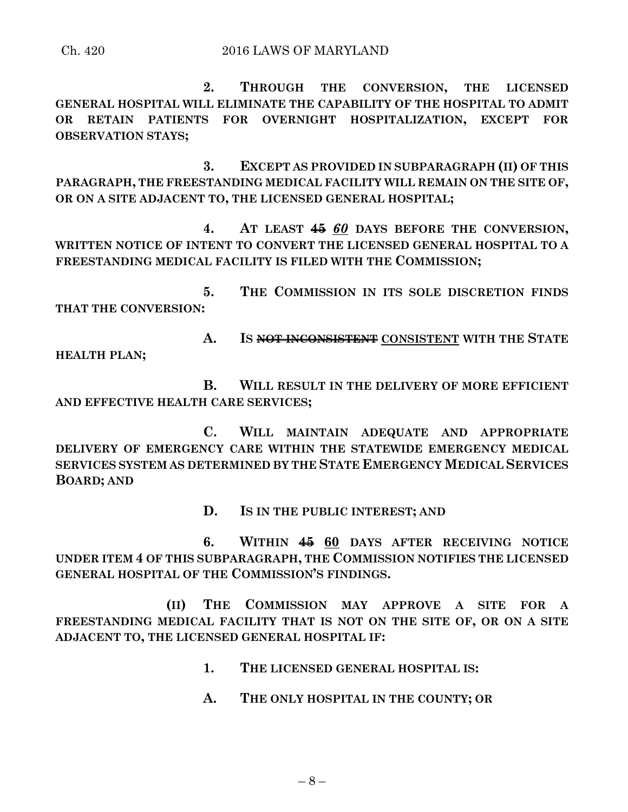**2. THROUGH THE CONVERSION, THE LICENSED GENERAL HOSPITAL WILL ELIMINATE THE CAPABILITY OF THE HOSPITAL TO ADMIT OR RETAIN PATIENTS FOR OVERNIGHT HOSPITALIZATION, EXCEPT FOR OBSERVATION STAYS;**

**3. EXCEPT AS PROVIDED IN SUBPARAGRAPH (II) OF THIS PARAGRAPH, THE FREESTANDING MEDICAL FACILITY WILL REMAIN ON THE SITE OF, OR ON A SITE ADJACENT TO, THE LICENSED GENERAL HOSPITAL;**

**4. AT LEAST 45** *60* **DAYS BEFORE THE CONVERSION, WRITTEN NOTICE OF INTENT TO CONVERT THE LICENSED GENERAL HOSPITAL TO A FREESTANDING MEDICAL FACILITY IS FILED WITH THE COMMISSION;**

**5. THE COMMISSION IN ITS SOLE DISCRETION FINDS THAT THE CONVERSION:**

**A. IS NOT INCONSISTENT CONSISTENT WITH THE STATE HEALTH PLAN;**

**B. WILL RESULT IN THE DELIVERY OF MORE EFFICIENT AND EFFECTIVE HEALTH CARE SERVICES;**

**C. WILL MAINTAIN ADEQUATE AND APPROPRIATE DELIVERY OF EMERGENCY CARE WITHIN THE STATEWIDE EMERGENCY MEDICAL SERVICES SYSTEM AS DETERMINED BY THE STATE EMERGENCY MEDICAL SERVICES BOARD; AND**

**D. IS IN THE PUBLIC INTEREST; AND**

**6. WITHIN 45 60 DAYS AFTER RECEIVING NOTICE UNDER ITEM 4 OF THIS SUBPARAGRAPH, THE COMMISSION NOTIFIES THE LICENSED GENERAL HOSPITAL OF THE COMMISSION'S FINDINGS.**

**(II) THE COMMISSION MAY APPROVE A SITE FOR A FREESTANDING MEDICAL FACILITY THAT IS NOT ON THE SITE OF, OR ON A SITE ADJACENT TO, THE LICENSED GENERAL HOSPITAL IF:**

- **1. THE LICENSED GENERAL HOSPITAL IS:**
- **A. THE ONLY HOSPITAL IN THE COUNTY; OR**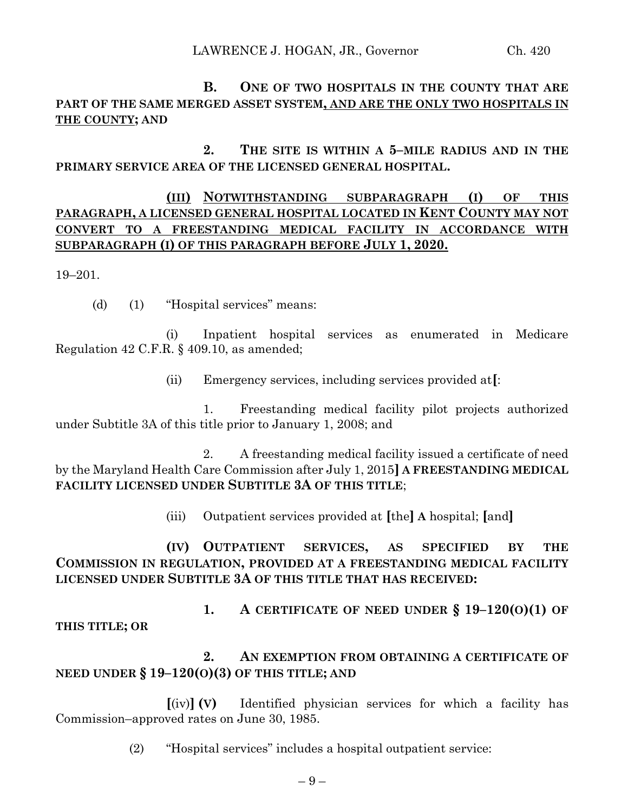**B. ONE OF TWO HOSPITALS IN THE COUNTY THAT ARE PART OF THE SAME MERGED ASSET SYSTEM, AND ARE THE ONLY TWO HOSPITALS IN THE COUNTY; AND**

**2. THE SITE IS WITHIN A 5–MILE RADIUS AND IN THE PRIMARY SERVICE AREA OF THE LICENSED GENERAL HOSPITAL.**

## **(III) NOTWITHSTANDING SUBPARAGRAPH (I) OF THIS PARAGRAPH, A LICENSED GENERAL HOSPITAL LOCATED IN KENT COUNTY MAY NOT CONVERT TO A FREESTANDING MEDICAL FACILITY IN ACCORDANCE WITH SUBPARAGRAPH (I) OF THIS PARAGRAPH BEFORE JULY 1, 2020.**

19–201.

(d) (1) "Hospital services" means:

(i) Inpatient hospital services as enumerated in Medicare Regulation 42 C.F.R. § 409.10, as amended;

(ii) Emergency services, including services provided at**[**:

1. Freestanding medical facility pilot projects authorized under Subtitle 3A of this title prior to January 1, 2008; and

2. A freestanding medical facility issued a certificate of need by the Maryland Health Care Commission after July 1, 2015**] A FREESTANDING MEDICAL FACILITY LICENSED UNDER SUBTITLE 3A OF THIS TITLE**;

(iii) Outpatient services provided at **[**the**] A** hospital; **[**and**]**

**(IV) OUTPATIENT SERVICES, AS SPECIFIED BY THE COMMISSION IN REGULATION, PROVIDED AT A FREESTANDING MEDICAL FACILITY LICENSED UNDER SUBTITLE 3A OF THIS TITLE THAT HAS RECEIVED:**

**1. A CERTIFICATE OF NEED UNDER § 19–120(O)(1) OF THIS TITLE; OR**

# **2. AN EXEMPTION FROM OBTAINING A CERTIFICATE OF NEED UNDER § 19–120(O)(3) OF THIS TITLE; AND**

**[**(iv)**] (V)** Identified physician services for which a facility has Commission–approved rates on June 30, 1985.

(2) "Hospital services" includes a hospital outpatient service: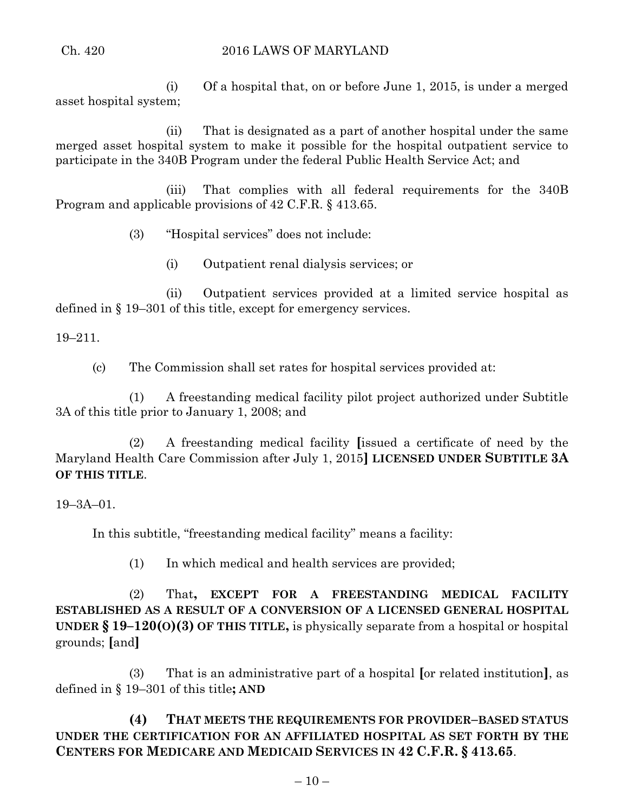### Ch. 420 2016 LAWS OF MARYLAND

(i) Of a hospital that, on or before June 1, 2015, is under a merged asset hospital system;

(ii) That is designated as a part of another hospital under the same merged asset hospital system to make it possible for the hospital outpatient service to participate in the 340B Program under the federal Public Health Service Act; and

(iii) That complies with all federal requirements for the 340B Program and applicable provisions of 42 C.F.R. § 413.65.

(3) "Hospital services" does not include:

(i) Outpatient renal dialysis services; or

(ii) Outpatient services provided at a limited service hospital as defined in § 19–301 of this title, except for emergency services.

19–211.

(c) The Commission shall set rates for hospital services provided at:

(1) A freestanding medical facility pilot project authorized under Subtitle 3A of this title prior to January 1, 2008; and

(2) A freestanding medical facility **[**issued a certificate of need by the Maryland Health Care Commission after July 1, 2015**] LICENSED UNDER SUBTITLE 3A OF THIS TITLE**.

19–3A–01.

In this subtitle, "freestanding medical facility" means a facility:

(1) In which medical and health services are provided;

(2) That**, EXCEPT FOR A FREESTANDING MEDICAL FACILITY ESTABLISHED AS A RESULT OF A CONVERSION OF A LICENSED GENERAL HOSPITAL UNDER § 19–120(O)(3) OF THIS TITLE,** is physically separate from a hospital or hospital grounds; **[**and**]**

(3) That is an administrative part of a hospital **[**or related institution**]**, as defined in § 19–301 of this title**; AND**

**(4) THAT MEETS THE REQUIREMENTS FOR PROVIDER–BASED STATUS UNDER THE CERTIFICATION FOR AN AFFILIATED HOSPITAL AS SET FORTH BY THE CENTERS FOR MEDICARE AND MEDICAID SERVICES IN 42 C.F.R. § 413.65**.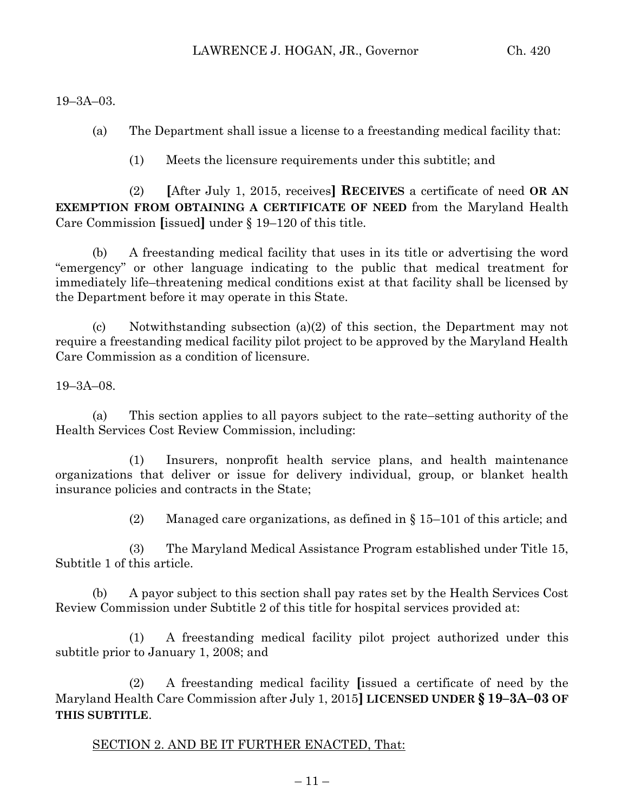19–3A–03.

(a) The Department shall issue a license to a freestanding medical facility that:

(1) Meets the licensure requirements under this subtitle; and

(2) **[**After July 1, 2015, receives**] RECEIVES** a certificate of need **OR AN EXEMPTION FROM OBTAINING A CERTIFICATE OF NEED** from the Maryland Health Care Commission **[**issued**]** under § 19–120 of this title.

(b) A freestanding medical facility that uses in its title or advertising the word "emergency" or other language indicating to the public that medical treatment for immediately life–threatening medical conditions exist at that facility shall be licensed by the Department before it may operate in this State.

(c) Notwithstanding subsection (a)(2) of this section, the Department may not require a freestanding medical facility pilot project to be approved by the Maryland Health Care Commission as a condition of licensure.

19–3A–08.

(a) This section applies to all payors subject to the rate–setting authority of the Health Services Cost Review Commission, including:

(1) Insurers, nonprofit health service plans, and health maintenance organizations that deliver or issue for delivery individual, group, or blanket health insurance policies and contracts in the State;

(2) Managed care organizations, as defined in  $\S 15-101$  of this article; and

(3) The Maryland Medical Assistance Program established under Title 15, Subtitle 1 of this article.

(b) A payor subject to this section shall pay rates set by the Health Services Cost Review Commission under Subtitle 2 of this title for hospital services provided at:

(1) A freestanding medical facility pilot project authorized under this subtitle prior to January 1, 2008; and

(2) A freestanding medical facility **[**issued a certificate of need by the Maryland Health Care Commission after July 1, 2015**] LICENSED UNDER § 19–3A–03 OF THIS SUBTITLE**.

### SECTION 2. AND BE IT FURTHER ENACTED, That: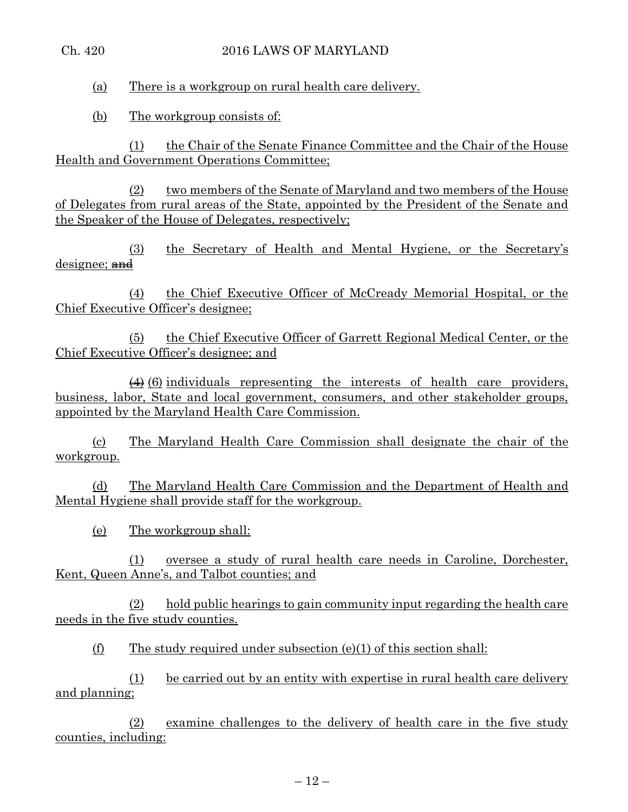### Ch. 420 2016 LAWS OF MARYLAND

(a) There is a workgroup on rural health care delivery.

(b) The workgroup consists of:

(1) the Chair of the Senate Finance Committee and the Chair of the House Health and Government Operations Committee;

(2) two members of the Senate of Maryland and two members of the House of Delegates from rural areas of the State, appointed by the President of the Senate and the Speaker of the House of Delegates, respectively;

(3) the Secretary of Health and Mental Hygiene, or the Secretary's designee; and

(4) the Chief Executive Officer of McCready Memorial Hospital, or the Chief Executive Officer's designee;

(5) the Chief Executive Officer of Garrett Regional Medical Center, or the Chief Executive Officer's designee; and

 $\overline{(4)}$  (6) individuals representing the interests of health care providers, business, labor, State and local government, consumers, and other stakeholder groups, appointed by the Maryland Health Care Commission.

(c) The Maryland Health Care Commission shall designate the chair of the workgroup.

(d) The Maryland Health Care Commission and the Department of Health and Mental Hygiene shall provide staff for the workgroup.

(e) The workgroup shall:

(1) oversee a study of rural health care needs in Caroline, Dorchester, Kent, Queen Anne's, and Talbot counties; and

(2) hold public hearings to gain community input regarding the health care needs in the five study counties.

(f) The study required under subsection  $(e)(1)$  of this section shall:

(1) be carried out by an entity with expertise in rural health care delivery and planning;

(2) examine challenges to the delivery of health care in the five study counties, including: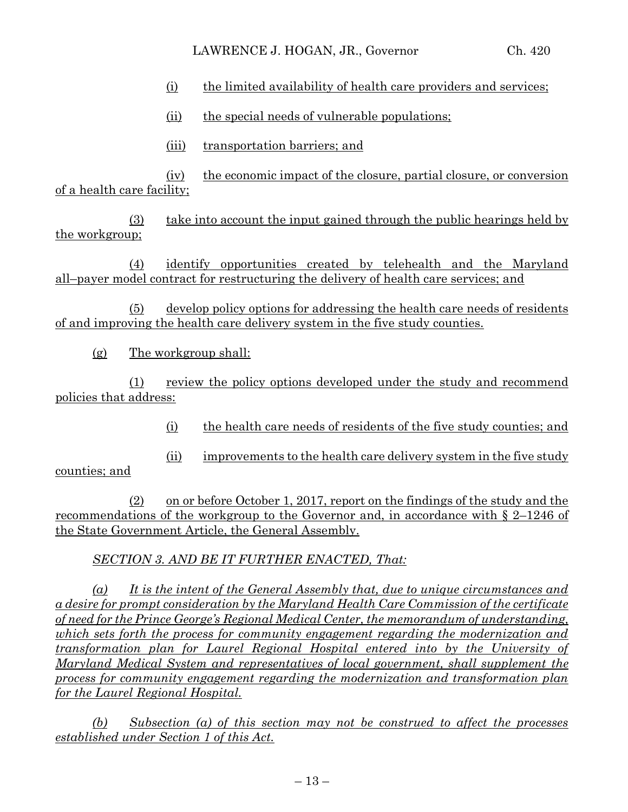- (i) the limited availability of health care providers and services;
- (ii) the special needs of vulnerable populations;
- (iii) transportation barriers; and

(iv) the economic impact of the closure, partial closure, or conversion of a health care facility;

(3) take into account the input gained through the public hearings held by the workgroup;

(4) identify opportunities created by telehealth and the Maryland all–payer model contract for restructuring the delivery of health care services; and

(5) develop policy options for addressing the health care needs of residents of and improving the health care delivery system in the five study counties.

(g) The workgroup shall:

(1) review the policy options developed under the study and recommend policies that address:

(i) the health care needs of residents of the five study counties; and

(ii) improvements to the health care delivery system in the five study

counties; and

 $(2)$  on or before October 1, 2017, report on the findings of the study and the recommendations of the workgroup to the Governor and, in accordance with § 2–1246 of the State Government Article, the General Assembly.

*SECTION 3. AND BE IT FURTHER ENACTED, That:*

*(a) It is the intent of the General Assembly that, due to unique circumstances and a desire for prompt consideration by the Maryland Health Care Commission of the certificate of need for the Prince George's Regional Medical Center, the memorandum of understanding, which sets forth the process for community engagement regarding the modernization and transformation plan for Laurel Regional Hospital entered into by the University of Maryland Medical System and representatives of local government, shall supplement the process for community engagement regarding the modernization and transformation plan for the Laurel Regional Hospital.* 

*(b) Subsection (a) of this section may not be construed to affect the processes established under Section 1 of this Act.*